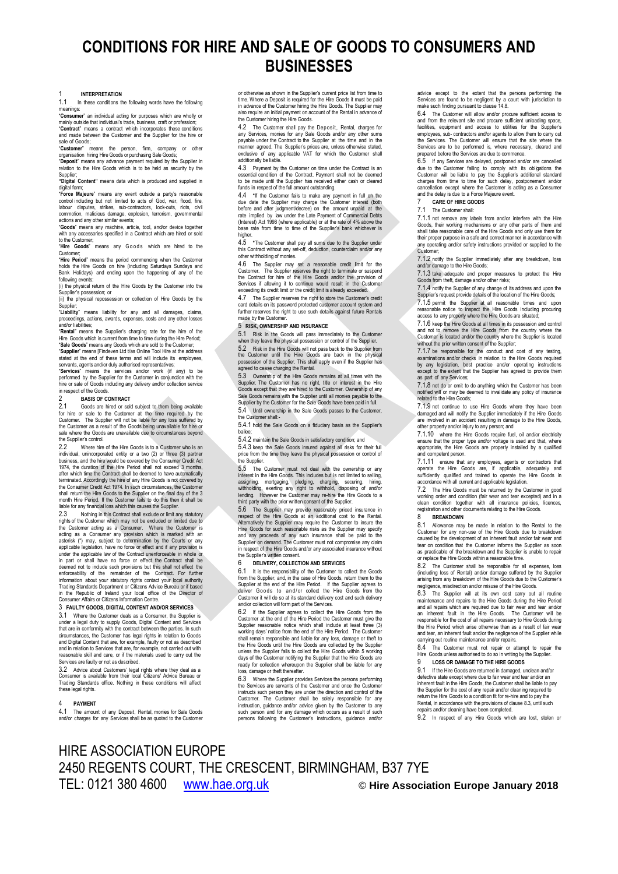# **CONDITIONS FOR HIRE AND SALE OF GOODS TO CONSUMERS AND BUSINESSES**

## 1 **INTERPRETATION**

In these conditions the following words have the following

meanings:<br>Consume <sub>c</sub>.<br>**mer**" an individual acting for purposes which are wholly or mainly outside that individual's trade, business, craft or profession; "**Contract**" means a contract which incorporates these conditions

and made between the Customer and the Supplier for the hire or sale of Goods;

"**Customer**" means the person, firm, company or other organisation hiring Hire Goods or purchasing Sale Goods; "**Deposit**" means any advance payment required by the Supplier in

relation to the Hire Goods which is to be held as security by the Supplier; **"Digital Content"** means data which is produced and supplied in

digital form: "**Force Majeure**" means any event outside a party's reasonable control including but not limited to acts of God, war, flood, fire, labour disputes, strikes, sub-contractors, lock-outs, riots, civil

commotion, malicious damage, explosion, terrorism, governmental<br>actions and any other similar events;<br>"Goods" means any machine, article, tool, and/or device together<br>with any accessories specified in a Contract which are to the Customer;

"Hire Goods" means any Goods which are hired to the

Customer; "**Hire Period**" means the period commencing when the Customer holds the Hire Goods on hire (including Saturdays Sundays and Bank Holidays) and ending upon the happening of any of the following events:

(i) the physical return of the Hire Goods by the Customer into the Supplier's possession; or

(ii) the physical repossession or collection of Hire Goods by the

Supplier;<br>**"Liability**" means liability for any and all damages, claims,<br>proceedings, actions, awards, expenses, costs\_and\_any\_other\_losses

and/or liabilities;<br>"**Rental**" means the Supplier's charging rate for the hire of the<br>Hire Goods which is current from time to time during the Hire Period;

"**Sale Goods**" means any Goods which are sold to the Customer; "**Supplier**" means [Findeven Ltd t/as Online Tool Hire at the address stated at the end of these terms and will include its employees, servants, agents and/or duly authorised representatives;

"**Services**" means the services and/or work (if any) to be performed by the Supplier for the Customer in conjunction with the hire or sale of Goods including any delivery and/or collection service in respect of the Goods.

## 2 **BASIS OF CONTRACT**

2.1 Goods are hired or sold subject to them being available for hire or sale to the Customer at the time required by the Customer. The Supplier will not be liable for any loss suffered by the Customer as a result of the Goods being unavailable for hire or sale where the Goods are unavailable due to circumstances beyond the Supplier's control.<br>22 Where hire

Where hire of the Hire Goods is to a Customer who is an individual, unincorporated entity or a two (2) or three (3) partner business, and the hire would be covered by the Consumer Credit Act 1974, the duration of the Hire Period shall not exceed 3 months, after which time the Contract shall be deemed to have automatically terminated. Accordingly the hire of any Hire Goods is not covered by the Consumer Credit Act 1974. In such circumstances, the Customer shall return the Hire Goods to the Supplier on the final day of the 3 month Hire Period. If the Customer fails to do this then it shall be liable for any financial loss which this causes the Supplier.

2.3 Nothing in this Contract shall exclude or limit any statutory<br>rights of the Customer which may not be excluded or limited due to<br>the Customer acting as a Consumer. Where the Customer is<br>acting as a Consumer any provisi in part or shall have no force or effect the Contract shall be<br>deemed not to include such provisions but this shall not effect the<br>enforceability of the remainder of the Contract. For further<br>information about your statuto in the Republic of Ireland your local office of the Director of Consumer Affairs or Citizens Information Centre.

#### 3 **FAULTY GOODS, DIGITAL CONTENT AND/OR SERVICES**

3.1 Where the Customer deals as a Consumer, the Supplier is<br>under a legal duty to supply Goods, Digital Content and Services<br>that are in conformity with the contract between the parties. In such<br>circumstances, the Customer and Digital Content that are, for example, faulty or not as described and in relation to Services that are, for example, not carried out with reasonable skill and care, or if the materials used to carry out the Services are faulty or not as described.

3.2 Advice about Customers' legal rights where they deal as a Consumer is available from their local Citizens' Advice Bureau or Trading Standards office. Nothing in these conditions will affect these legal rights.

## 4 **PAYMENT**

The amount of any Deposit, Rental, monies for Sale Goods and/or charges for any Services shall be as quoted to the Customer

or otherwise as shown in the Supplier's current price list from time to time. Where a Deposit is required for the Hire Goods it must be paid in advance of the Customer hiring the Hire Goods. The Supplier may also require an initial payment on account of the Rental in advance of the Customer hiring the Hire Goods.

<span id="page-0-1"></span>4.2 The Customer shall pay the Deposit, Rental, charges for any Services, monies for any Sale Goods and/or any other sums payable under the Contract to the Supplier at the time and in the manner agreed. The Supplier's prices are, unless otherwise stated exclusive of any applicable VAT for which the Customer shall additionally be liable.

4.3 Payment by the Customer on time under the Contract is an essential condition of the Contract. Payment shall not be deemed to be made until the Supplier has received either cash or cleared funds in respect of the full amount outstanding.

<span id="page-0-2"></span>4.4 **\***If the Customer fails to make any payment in full on the due date the Supplier may charge the Customer interest (both before and after judgment/decree) on the amount unpaid at the rate implied by law under the Late Payment of Commercial Debts (Interest) Act 1998 (where applicable) or at the rate of 4% above the base rate from time to time of the Supplier's bank whichever is

<span id="page-0-3"></span>higher<br>4.5 4.5 **\***The Customer shall pay all sums due to the Supplier under this Contract without any set-off, deduction, counterclaim and/or any other withholding of monies.

4.6 The Supplier may set a reasonable credit limit for the Customer. The Supplier reserves the right to terminate or suspend the Contract for hire of the Hire Goods and/or the provision of Services if allowing it to continue would result in the Customer exceeding its credit limit or the credit limit is already exceeded.

4.7 The Supplier reserves the right to store the Customer's credit card details on its password protected customer account system and card details on its password protected customer account system and further reserves the right to use such details against future Rentals made by the Customer.

## 5 **RISK, OWNERSHIP AND INSURANCE**

5.1 Risk in the Goods will pass immediately to the Customer when they leave the physical possession or control of the Supplier.

5.2 Risk in the Hire Goods will not pass back to the Supplier from the Customer until the Hire Goods are back in the physical possession of the Supplier. This shall apply even if the Supplier has

agreed to cease charging the Rental. 5.3 Ownership of the Hire Goods remains at all times with the Supplier. The Customer has no right, title or interest in the Hire<br>Goods except that they are hired to the Customer. Ownership of any<br>Sale Goods remains with the Supplier until all monies payable to the<br>Supplier by the Cus 5.4 Until ownership in the Sale Goods passes to the Customer, the Customer shall:-

5.4.1 hold the Sale Goods on a fiduciary basis as the Supplier's bailee;

5.4.2 maintain the Sale Goods in satisfactory condition; and

5.4.3 keep the Sale Goods insured against all risks for their full price from the time they leave the physical possession or control of the Supplier.

5.5 The Customer must not deal with the ownership or any interest in the Hire Goods. This includes but is not limited to selling, assigning, mortgaging, pledging, charging, securing, hiring,<br>withholding, exerting any right to withhold, disposing of and/or<br>lending. However the Customer may re-hire the Hire Goods to a<br>third.party.with.the.prior.written

5.6 The Supplier may provide reasonably priced insurance in respect of the Hire Goods at an additional cost to the Rental. Alternatively the Supplier may require the Customer to insure the Hire Goods for such reasonable risks as the Supplier may specify and any proceeds of any such insurance shall be paid to the Supplier on demand. The Customer must not compromise any claim in respect of the Hire Goods and/or any associated insurance without the Supplier's written consent.

#### 6 **DELIVERY, COLLECTION AND SERVICES**

6.1 It is the responsibility of the Customer to collect the Goods from the Supplier, and, in the case of Hire Goods, return them to the Supplier at the end of the Hire Period. If the Supplier agrees to deliver Goods t o an d/ or collect the Hire Goods from the Customer it will do so at its standard delivery cost and such delivery and/or collection will form part of the Services.<br>6.2 If the Supplier agrees to collect the

If the Supplier agrees to collect the Hire Goods from the Customer at the end of the Hire Period the Customer must give the Supplier reasonable notice which shall include at least three (3)<br>working days' notice from the end of the Hire Period. The Customer<br>shall remain responsible and liable for any loss, damage or theft to<br>the Hire Goods until unless the Supplier fails to collect the Hire Goods within 5 working days of the Customer notifying the Supplier that the Hire Goods are ready for collection whereupon the Supplier shall be liable for any loss, damage or theft thereafter.

6.3 Where the Supplier provides Services the persons performing the Services are servants of the Customer and once the Customer instructs such person they are under the direction and control of the<br>Customer. The Customer shall be solely responsible for any<br>instruction, guidance and/or advice given by the Customer to any<br>such person and for any dama persons following the Customer's instructions, guidance and/or

advice except to the extent that the persons performing the Services are found to be negligent by a court with jurisdiction to make such finding pursuant to claus[e 14.8.](#page-1-0)

6.4 The Customer will allow and/or procure sufficient access to and from the relevant site and procure sufficient unloading space, facilities, equipment and access to utilities for the Supplier's employees, sub- contractors and/or agents to allow them to carry out the Services. The Customer will ensure that the site where the Services are to be performed is, where necessary, cleared and prepared before the Services are due to commence.

6.5 If any Services are delayed, postponed and/or are cancelled due to the Customer failing to comply with its obligations the Customer will be liable to pay the Supplier's additional standard charges from time to time for such delay, postponement and/or cancellation except where the Customer is acting as a Consumer and the delay is due to a Force Majeure event.

### <span id="page-0-4"></span>7 **CARE OF HIRE GOODS**

## The Customer shall:

7.1.1 not remove any labels from and/or interfere with the Hire Goods, their working mechanisms or any other parts of them and shall take reasonable care of the Hire Goods and only use them for their proper nurmose in a safe and correct manner in accordance with their proper purpose in a safe and correct manner in accordance with any operating and/or safety instructions provided or supplied to the

Customer; 7.1.2 notify the Supplier immediately after any breakdown, loss and/or damage to the Hire Goods;

7.1.3 take adequate and proper measures to protect the Hire Goods from theft, damage and/or other risks;

7.1.4 notify the Supplier of any change of its address and upon the Supplier's request provide details of the location of the Hire Goods;

7.1.5 permit the Supplier at all reasonable times and upon reasonable notice to inspect the Hire Goods including procuring access to any property where the Hire Goods are situated;

7.1.6 keep the Hire Goods at all times in its possession and control and not to remove the Hire Goods from the country where the Customer is located and/or the country where the Supplier is located without the prior written consent of the Supplier;

7.1.7 be responsible for the conduct and cost of any testing, examinations and/or checks in relation to the Hire Goods required by any legislation, best practice and/or operating instructions except to the extent that the Supplier has agreed to provide them as part of any Services;

7.1.8 not do or omit to do anything which the Customer has been notified will or may be deemed to invalidate any policy of insurance related to the Hire Goods;

7.1.9 not continue to use Hire Goods where they have been damaged and will notify the Supplier immediately if the Hire Goods are involved in an accident resulting in damage to the Hire Goods, other property and/or injury to any person; and

7.1.10 where the Hire Goods require fuel, oil and/or electricity ensure that the proper type and/or voltage is used and that, where appropriate, the Hire Goods are properly installed by a qualified mpetent perso

7.1.11 ensure that any employees, agents or contractors that operate the Hire Goods are, if applicable, adequately and sufficiently qualified and trained to operate the Hire Goods in accordance with all current and applicable legislation.

The Hire Goods must be returned by the Customer in good working order and condition (fair wear and tear excepted) and in a clean condition together with all insurance policies, licences, registration and other documents relating to the Hire Goods.

<span id="page-0-5"></span>**SEXEAKDOWN**<br>Customer for any be made in relation to the Rental to the<br>Customer for any non-use of the Hire Goods due to breakdown<br>caused by the development of an inherent fault and/or fair wear and<br>tear on condition that or replace the Hire Goods within a reasonable time.<br>8.2 The Customer shall be responsible for a

The Customer shall be responsible for all expenses, loss (including loss of Rental) and/or damage suffered by the Supplier arising from any breakdown of the Hire Goods due to the Customer's negligence, misdirection and/or misuse of the Hire Goods.

8.3 The Supplier will at its own cost carry out all routine maintenance and repairs to the Hire Goods during the Hire Period and all repairs which are required due to fair wear and tear and/or an inherent fault in the Hire Goods. The Customer will be<br>responsible for the cost of all repairs necessary to Hire Goods during<br>the Hire Period which arise otherwise than as a result of fair wear<br>and tear, an inherent fau carrying out routine maintenance and/or repairs.<br>8.4 The Customer must not repair or attending

The Customer must not repair or attempt to repair the Hire Goods unless authorised to do so in writing by the Supplier.<br> **Hire Goods unless authorised to do so in writing by the Supplier.**<br> **9 I OSS OR DAMAGE TO THE HIRE GOODS** 

## 9 **LOSS OR DAMAGE TO THE HIRE GOODS**

<span id="page-0-6"></span>If the Hire Goods are returned in damaged, unclean and/or defective state except where due to fair wear and tear and/or an inherent fault in the Hire Goods, the Customer shall be liable to pay the Supplier for the cost of any repair and/or cleaning required to return the Hire Goods to a condition fit for re-hire and to pay the Rental, in accordance with the provisions of clause 8.3, until such repairs and/or cleaning have been completed.

<span id="page-0-0"></span>9.2 In respect of any Hire Goods which are lost, stolen or

# HIRE ASSOCIATION EUROPE 2450 REGENTS COURT, THE CRESCENT, BIRMINGHAM, B37 7YE TEL: 0121 380 4600 [www.hae.org.uk](http://www.hae.org.uk/) © **Hire Association Europe January 2018**